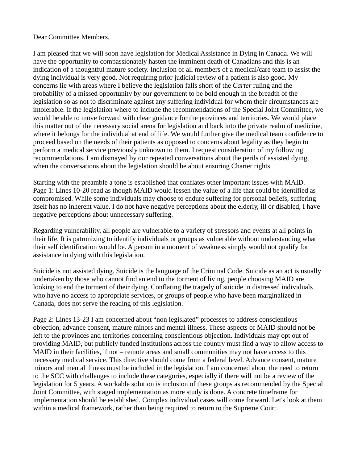## Dear Committee Members,

I am pleased that we will soon have legislation for Medical Assistance in Dying in Canada. We will have the opportunity to compassionately hasten the imminent death of Canadians and this is an indication of a thoughtful mature society. Inclusion of all members of a medical/care team to assist the dying individual is very good. Not requiring prior judicial review of a patient is also good. My concerns lie with areas where I believe the legislation falls short of the *Carter* ruling and the probability of a missed opportunity by our government to be bold enough in the breadth of the legislation so as not to discriminate against any suffering individual for whom their circumstances are intolerable. If the legislation where to include the recommendations of the Special Joint Committee, we would be able to move forward with clear guidance for the provinces and territories. We would place this matter out of the necessary social arena for legislation and back into the private realm of medicine, where it belongs for the individual at end of life. We would further give the medical team confidence to proceed based on the needs of their patients as opposed to concerns about legality as they begin to perform a medical service previously unknown to them. I request consideration of my following recommendations. I am dismayed by our repeated conversations about the perils of assisted dying, when the conversations about the legislation should be about ensuring Charter rights.

Starting with the preamble a tone is established that conflates other important issues with MAID. Page 1: Lines 10-20 read as though MAID would lessen the value of a life that could be identified as compromised. While some individuals may choose to endure suffering for personal beliefs, suffering itself has no inherent value. I do not have negative perceptions about the elderly, ill or disabled, I have negative perceptions about unnecessary suffering.

Regarding vulnerability, all people are vulnerable to a variety of stressors and events at all points in their life. It is patronizing to identify individuals or groups as vulnerable without understanding what their self identification would be. A person in a moment of weakness simply would not qualify for assistance in dying with this legislation.

Suicide is not assisted dying. Suicide is the language of the Criminal Code. Suicide as an act is usually undertaken by those who cannot find an end to the torment of living, people choosing MAID are looking to end the torment of their dying. Conflating the tragedy of suicide in distressed individuals who have no access to appropriate services, or groups of people who have been marginalized in Canada, does not serve the reading of this legislation.

Page 2: Lines 13-23 I am concerned about "non legislated" processes to address conscientious objection, advance consent, mature minors and mental illness. These aspects of MAID should not be left to the provinces and territories concerning conscientious objection. Individuals may opt out of providing MAID, but publicly funded institutions across the country must find a way to allow access to MAID in their facilities, if not – remote areas and small communities may not have access to this necessary medical service. This directive should come from a federal level. Advance consent, mature minors and mental illness must be included in the legislation. I am concerned about the need to return to the SCC with challenges to include these categories, especially if there will not be a review of the legislation for 5 years. A workable solution is inclusion of these groups as recommended by the Special Joint Committee, with staged implementation as more study is done. A concrete timeframe for implementation should be established. Complex individual cases will come forward. Let's look at them within a medical framework, rather than being required to return to the Supreme Court.